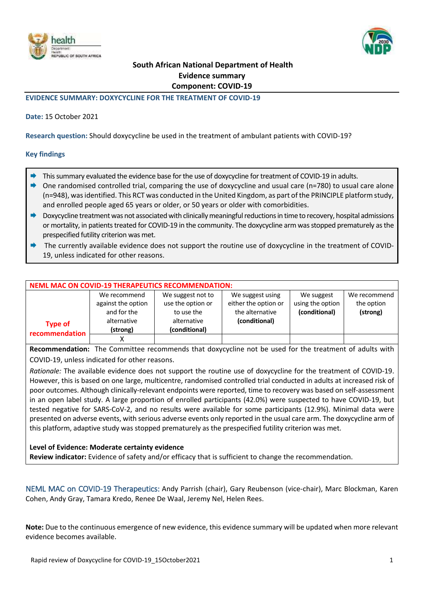



# **South African National Department of Health Evidence summary Component: COVID-19**

### **EVIDENCE SUMMARY: DOXYCYCLINE FOR THE TREATMENT OF COVID-19**

### **Date:** 15 October 2021

**Research question:** Should doxycycline be used in the treatment of ambulant patients with COVID-19?

#### **Key findings**

- $\rightarrow$  This summary evaluated the evidence base for the use of doxycycline for treatment of COVID-19 in adults.
- One randomised controlled trial, comparing the use of doxycycline and usual care (n=780) to usual care alone (n=948), wasidentified. This RCT was conducted in the United Kingdom, as part of the PRINCIPLE platform study, and enrolled people aged 65 years or older, or 50 years or older with comorbidities.
- $\rightarrow$  Doxycycline treatment was not associated with clinically meaningful reductions in time to recovery, hospital admissions or mortality, in patients treated for COVID-19 in the community. The doxycycline arm was stopped prematurely as the prespecified futility criterion was met.
- The currently available evidence does not support the routine use of doxycycline in the treatment of COVID-19, unless indicated for other reasons.

| <b>NEML MAC ON COVID-19 THERAPEUTICS RECOMMENDATION:</b> |                    |                   |                      |                  |              |  |  |  |
|----------------------------------------------------------|--------------------|-------------------|----------------------|------------------|--------------|--|--|--|
|                                                          | We recommend       | We suggest not to | We suggest using     | We suggest       | We recommend |  |  |  |
|                                                          | against the option | use the option or | either the option or | using the option | the option   |  |  |  |
|                                                          | and for the        | to use the        | the alternative      | (conditional)    | (strong)     |  |  |  |
| <b>Type of</b>                                           | alternative        | alternative       | (conditional)        |                  |              |  |  |  |
| recommendation                                           | (strong)           | (conditional)     |                      |                  |              |  |  |  |
|                                                          |                    |                   |                      |                  |              |  |  |  |

**Recommendation:** The Committee recommends that doxycycline not be used for the treatment of adults with COVID-19, unless indicated for other reasons.

*Rationale:* The available evidence does not support the routine use of doxycycline for the treatment of COVID-19. However, this is based on one large, multicentre, randomised controlled trial conducted in adults at increased risk of poor outcomes. Although clinically-relevant endpoints were reported, time to recovery was based on self-assessment in an open label study. A large proportion of enrolled participants (42.0%) were suspected to have COVID-19, but tested negative for SARS-CoV-2, and no results were available for some participants (12.9%). Minimal data were presented on adverse events, with serious adverse events only reported in the usual care arm. The doxycycline arm of this platform, adaptive study was stopped prematurely as the prespecified futility criterion was met.

### **Level of Evidence: Moderate certainty evidence**

**Review indicator:** Evidence of safety and/or efficacy that is sufficient to change the recommendation.

NEML MAC on COVID-19 Therapeutics: Andy Parrish (chair), Gary Reubenson (vice-chair), Marc Blockman, Karen Cohen, Andy Gray, Tamara Kredo, Renee De Waal, Jeremy Nel, Helen Rees.

**Note:** Due to the continuous emergence of new evidence, this evidence summary will be updated when more relevant evidence becomes available.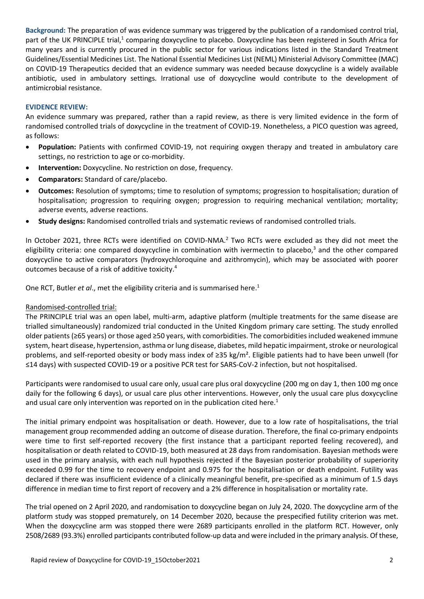<span id="page-1-0"></span>**Background:** The preparation of was evidence summary was triggered by the publication of a randomised control trial, part of the UK PRINCIPLE trial,<sup>1</sup> comparing doxycycline to placebo. Doxycycline has been registered in South Africa for many years and is currently procured in the public sector for various indications listed in the Standard Treatment Guidelines/Essential Medicines List. The National Essential Medicines List (NEML) Ministerial Advisory Committee (MAC) on COVID-19 Therapeutics decided that an evidence summary was needed because doxycycline is a widely available antibiotic, used in ambulatory settings. Irrational use of doxycycline would contribute to the development of antimicrobial resistance.

### **EVIDENCE REVIEW:**

An evidence summary was prepared, rather than a rapid review, as there is very limited evidence in the form of randomised controlled trials of doxycycline in the treatment of COVID-19. Nonetheless, a PICO question was agreed, as follows:

- **Population:** Patients with confirmed COVID-19, not requiring oxygen therapy and treated in ambulatory care settings, no restriction to age or co-morbidity.
- **Intervention:** Doxycycline. No restriction on dose, frequency.
- **Comparators:** Standard of care/placebo.
- **Outcomes:** Resolution of symptoms; time to resolution of symptoms; progression to hospitalisation; duration of hospitalisation; progression to requiring oxygen; progression to requiring mechanical ventilation; mortality; adverse events, adverse reactions.
- **Study designs:** Randomised controlled trials and systematic reviews of randomised controlled trials.

In October 2021, three RCTs were identified on COVID-NMA.<sup>2</sup> Two RCTs were excluded as they did not meet the eligibility criteria: one compared doxycycline in combination with ivermectin to placebo,<sup>3</sup> and the other compared doxycycline to active comparators (hydroxychloroquine and azithromycin), which may be associated with poorer outcomes because of a risk of additive toxicity. 4

One RCT, Butler *et al*., met the eligibility criteria and is summarised here. [1](#page-1-0)

## Randomised-controlled trial:

The PRINCIPLE trial was an open label, multi-arm, adaptive platform (multiple treatments for the same disease are trialled simultaneously) randomized trial conducted in the United Kingdom primary care setting. The study enrolled older patients (≥65 years) or those aged ≥50 years, with comorbidities. The comorbidities included weakened immune system, heart disease, hypertension, asthma or lung disease, diabetes, mild hepatic impairment, stroke or neurological problems, and self-reported obesity or body mass index of ≥35 kg/m². Eligible patients had to have been unwell (for ≤14 days) with suspected COVID-19 or a positive PCR test for SARS-CoV-2 infection, but not hospitalised.

Participants were randomised to usual care only, usual care plus oral doxycycline (200 mg on day 1, then 100 mg once daily for the following 6 days), or usual care plus other interventions. However, only the usual care plus doxycycline and usual care only intervention was reported on in the publication cited here.<sup>1</sup>

The initial primary endpoint was hospitalisation or death. However, due to a low rate of hospitalisations, the trial management group recommended adding an outcome of disease duration. Therefore, the final co-primary endpoints were time to first self-reported recovery (the first instance that a participant reported feeling recovered), and hospitalisation or death related to COVID-19, both measured at 28 days from randomisation. Bayesian methods were used in the primary analysis, with each null hypothesis rejected if the Bayesian posterior probability of superiority exceeded 0.99 for the time to recovery endpoint and 0.975 for the hospitalisation or death endpoint. Futility was declared if there was insufficient evidence of a clinically meaningful benefit, pre-specified as a minimum of 1.5 days difference in median time to first report of recovery and a 2% difference in hospitalisation or mortality rate.

The trial opened on 2 April 2020, and randomisation to doxycycline began on July 24, 2020. The doxycycline arm of the platform study was stopped prematurely, on 14 December 2020, because the prespecified futility criterion was met. When the doxycycline arm was stopped there were 2689 participants enrolled in the platform RCT. However, only 2508/2689 (93.3%) enrolled participants contributed follow-up data and were included in the primary analysis. Of these,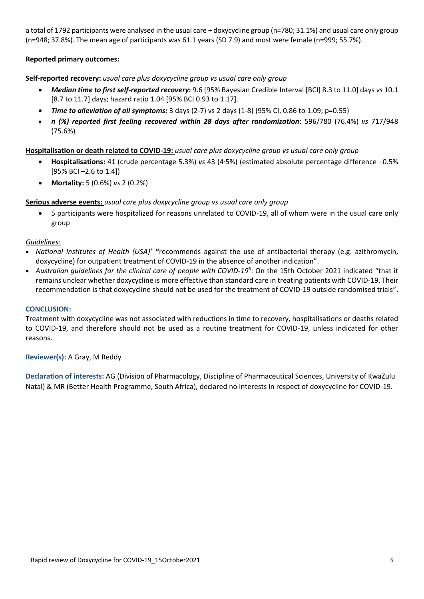a total of 1792 participants were analysed in the usual care + doxycycline group (n=780; 31.1%) and usual care only group (n=948; 37.8%). The mean age of participants was 61.1 years (SD 7.9) and most were female (n=999; 55.7%).

## **Reported primary outcomes:**

## **Self-reported recovery:** *usual care plus doxycycline group vs usual care only group*

- *Median time to first self-reported recovery***:** 9.6 [95% Bayesian Credible Interval [BCI] 8.3 to 11.0] days *vs* 10.1 [8.7 to 11.7] days; hazard ratio 1.04 [95% BCI 0.93 to 1.17].
- *Time to alleviation of all symptoms:* 3 days (2-7) vs 2 days (1-8) (95% CI, 0.86 to 1.09; p=0.55)
- *n (%) reported first feeling recovered within 28 days after randomization*: 596/780 (76.4%) *vs* 717/948 (75.6%)

## **Hospitalisation or death related to COVID-19:** *usual care plus doxycycline group vs usual care only group*

- **Hospitalisations:** 41 (crude percentage 5.3%) *vs* 43 (4·5%) (estimated absolute percentage difference –0.5% [95% BCI –2.6 to 1.4])
- **Mortality:** 5 (0.6%) *vs* 2 (0.2%)

## **Serious adverse events:** *usual care plus doxycycline group vs usual care only group*

 5 participants were hospitalized for reasons unrelated to COVID-19, all of whom were in the usual care only group

## *Guidelines:*

- National Institutes of Health (USA)<sup>5</sup> "recommends against the use of antibacterial therapy (e.g. azithromycin, doxycycline) for outpatient treatment of COVID-19 in the absence of another indication".
- *Australian guidelines for the clinical care of people with COVID-19*<sup>6</sup> : On the 15th October 2021 indicated "that it remains unclear whether doxycycline is more effective than standard care in treating patients with COVID-19. Their recommendation is that doxycycline should not be used for the treatment of COVID-19 outside randomised trials".

### **CONCLUSION:**

Treatment with doxycycline was not associated with reductions in time to recovery, hospitalisations or deaths related to COVID-19, and therefore should not be used as a routine treatment for COVID-19, unless indicated for other reasons.

## **Reviewer(s):** A Gray, M Reddy

**Declaration of interests:** AG (Division of Pharmacology, Discipline of Pharmaceutical Sciences, University of KwaZulu Natal) & MR (Better Health Programme, South Africa), declared no interests in respect of doxycycline for COVID-19.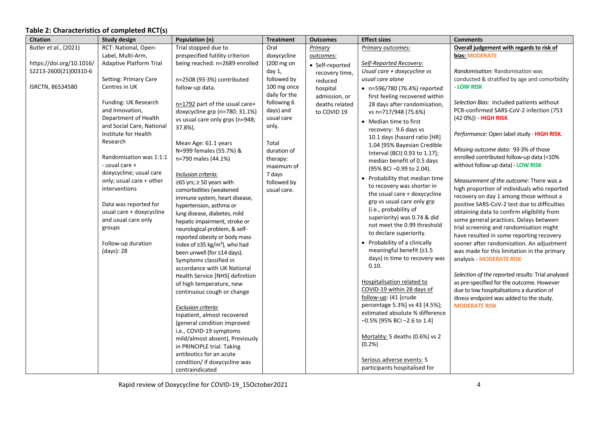# **Table 2: Characteristics of completed RCT(s)**

| <b>Citation</b>          | <b>Study design</b>            | Population (n)                                  | <b>Treatment</b> | <b>Outcomes</b> | <b>Effect sizes</b>                                       | <b>Comments</b>                                                                        |
|--------------------------|--------------------------------|-------------------------------------------------|------------------|-----------------|-----------------------------------------------------------|----------------------------------------------------------------------------------------|
| Butler et al., (2021)    | RCT: National, Open-           | Trial stopped due to                            | Oral             | Primary         | Primary outcomes:                                         | Overall judgement with regards to risk of                                              |
|                          | Label, Multi-Arm,              | prespecified futility criterion                 | doxycycline      | outcomes:       |                                                           | bias: MODERATE                                                                         |
| https://doi.org/10.1016/ | <b>Adaptive Platform Trial</b> | being reached: n=2689 enrolled                  | (200 mg on       | • Self-reported | Self-Reported Recovery:                                   |                                                                                        |
| S2213-2600(21)00310-6    |                                |                                                 | day 1,           | recovery time,  | Usual care + doxycycline vs                               | Randomisation: Randomisation was                                                       |
|                          | Setting: Primary Care          | n=2508 (93.3%) contributed                      | followed by      | reduced         | usual care alone                                          | conducted & stratified by age and comorbidity                                          |
| ISRCTN, 86534580         | Centres in UK                  | follow-up data.                                 | 100 mg once      | hospital        | • n=596/780 (76.4%) reported                              | - LOW RISK                                                                             |
|                          |                                |                                                 | daily for the    | admission, or   | first feeling recovered within                            |                                                                                        |
|                          | Funding: UK Research           | n=1792 part of the usual care+                  | following 6      | deaths related  | 28 days after randomisation,                              | Selection Bias: Included patients without                                              |
|                          | and Innovation,                | doxycycline grp (n=780; 31.1%)                  | days) and        | to COVID 19     | vs n=717/948 (75.6%)                                      | PCR-confirmed SARS-CoV-2 infection (753                                                |
|                          | Department of Health           | vs usual care only grps (n=948;                 | usual care       |                 | • Median time to first                                    | $(42.0%)$ - HIGH RISK                                                                  |
|                          | and Social Care, National      | 37.8%).                                         | only.            |                 | recovery: 9.6 days vs                                     |                                                                                        |
|                          | Institute for Health           |                                                 |                  |                 | 10.1 days (hazard ratio [HR]                              | Performance: Open label study - HIGH RISK.                                             |
|                          | Research                       | Mean Age: 61.1 years                            | Total            |                 | 1.04 [95% Bayesian Credible                               |                                                                                        |
|                          |                                | N=999 females (55.7%) &                         | duration of      |                 | Interval (BCI) 0.93 to 1.17];                             | Missing outcome data: 93.3% of those<br>enrolled contributed follow-up data (<10%      |
|                          | Randomisation was 1:1:1        | n=790 males (44.1%)                             | therapy:         |                 | median benefit of 0.5 days                                |                                                                                        |
|                          | - usual care +                 |                                                 | maximum of       |                 | (95% BCI -0.99 to 2.04).                                  | without follow up data) - LOW RISK                                                     |
|                          | doxycycline; usual care        | Inclusion criteria:                             | 7 days           |                 | • Probability that median time                            |                                                                                        |
|                          | only; usual care + other       | ≥65 yrs; ≥ 50 years with                        | followed by      |                 | to recovery was shorter in                                | Measurement of the outcome: There was a                                                |
|                          | interventions                  | comorbidities (weakened                         | usual care.      |                 | the usual care + doxycycline                              | high proportion of individuals who reported                                            |
|                          |                                | immune system, heart disease,                   |                  |                 | grp vs usual care only grp                                | recovery on day 1 among those without a                                                |
|                          | Data was reported for          | hypertension, asthma or                         |                  |                 | (i.e., probability of                                     | positive SARS-CoV-2 test due to difficulties                                           |
|                          | usual care + doxycycline       | lung disease, diabetes, mild                    |                  |                 | superiority) was 0.74 & did                               | obtaining data to confirm eligibility from                                             |
|                          | and usual care only            | hepatic impairment, stroke or                   |                  |                 | not meet the 0.99 threshold                               | some general practices. Delays between                                                 |
|                          | groups                         | neurological problem, & self-                   |                  |                 | to declare superiority.                                   | trial screening and randomisation might                                                |
|                          |                                | reported obesity or body mass                   |                  |                 |                                                           | have resulted in some reporting recovery                                               |
|                          | Follow-up duration             | index of $\geq$ 35 kg/m <sup>2</sup> ), who had |                  |                 | • Probability of a clinically<br>meaningful benefit (≥1.5 | sooner after randomization. An adjustment                                              |
|                          | (days): 28                     | been unwell (for ≤14 days).                     |                  |                 | days) in time to recovery was                             | was made for this limitation in the primary                                            |
|                          |                                | Symptoms classified in                          |                  |                 | 0.10.                                                     | analysis - MODERATE RISK                                                               |
|                          |                                | accordance with UK National                     |                  |                 |                                                           |                                                                                        |
|                          |                                | Health Service [NHS] definition                 |                  |                 | Hospitalisation related to                                | Selection of the reported results: Trial analysed                                      |
|                          |                                | of high temperature, new                        |                  |                 | COVID-19 within 28 days of                                | as pre-specified for the outcome. However<br>due to low hospitalisations a duration of |
|                          |                                | continuous cough or change                      |                  |                 | follow-up: (41 [crude                                     | illness endpoint was added to the study.                                               |
|                          |                                |                                                 |                  |                 | percentage 5.3%] vs 43 [4.5%];                            | <b>MODERATE RISK</b>                                                                   |
|                          |                                | Exclusion criteria:                             |                  |                 | estimated absolute % difference                           |                                                                                        |
|                          |                                | Inpatient, almost recovered                     |                  |                 | $-0.5\%$ [95% BCI -2.6 to 1.4]                            |                                                                                        |
|                          |                                | (general condition improved                     |                  |                 |                                                           |                                                                                        |
|                          |                                | i.e., COVID-19 symptoms                         |                  |                 | Mortality: 5 deaths (0.6%) vs 2                           |                                                                                        |
|                          |                                | mild/almost absent), Previously                 |                  |                 | (0.2%                                                     |                                                                                        |
|                          |                                | in PRINCIPLE trial. Taking                      |                  |                 |                                                           |                                                                                        |
|                          |                                | antibiotics for an acute                        |                  |                 | Serious adverse events: 5                                 |                                                                                        |
|                          |                                | condition/ if doxycycline was                   |                  |                 | participants hospitalised for                             |                                                                                        |
|                          |                                | contraindicated                                 |                  |                 |                                                           |                                                                                        |